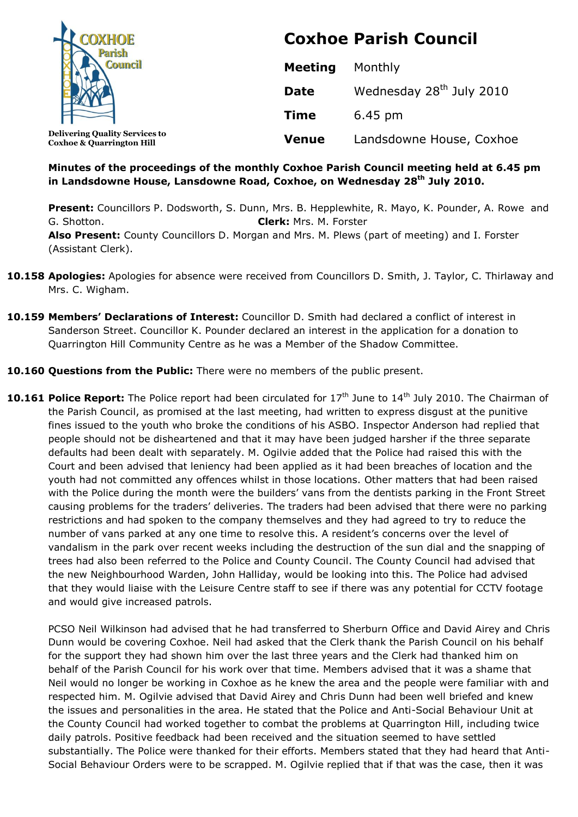

## **Minutes of the proceedings of the monthly Coxhoe Parish Council meeting held at 6.45 pm in Landsdowne House, Lansdowne Road, Coxhoe, on Wednesday 28 th July 2010.**

**Present:** Councillors P. Dodsworth, S. Dunn, Mrs. B. Hepplewhite, R. Mayo, K. Pounder, A. Rowe and G. Shotton. **Clerk:** Mrs. M. Forster **Also Present:** County Councillors D. Morgan and Mrs. M. Plews (part of meeting) and I. Forster (Assistant Clerk).

- **10.158 Apologies:** Apologies for absence were received from Councillors D. Smith, J. Taylor, C. Thirlaway and Mrs. C. Wigham.
- **10.159 Members' Declarations of Interest:** Councillor D. Smith had declared a conflict of interest in Sanderson Street. Councillor K. Pounder declared an interest in the application for a donation to Quarrington Hill Community Centre as he was a Member of the Shadow Committee.
- **10.160 Questions from the Public:** There were no members of the public present.
- **10.161 Police Report:** The Police report had been circulated for 17<sup>th</sup> June to 14<sup>th</sup> July 2010. The Chairman of the Parish Council, as promised at the last meeting, had written to express disgust at the punitive fines issued to the youth who broke the conditions of his ASBO. Inspector Anderson had replied that people should not be disheartened and that it may have been judged harsher if the three separate defaults had been dealt with separately. M. Ogilvie added that the Police had raised this with the Court and been advised that leniency had been applied as it had been breaches of location and the youth had not committed any offences whilst in those locations. Other matters that had been raised with the Police during the month were the builders' vans from the dentists parking in the Front Street causing problems for the traders' deliveries. The traders had been advised that there were no parking restrictions and had spoken to the company themselves and they had agreed to try to reduce the number of vans parked at any one time to resolve this. A resident's concerns over the level of vandalism in the park over recent weeks including the destruction of the sun dial and the snapping of trees had also been referred to the Police and County Council. The County Council had advised that the new Neighbourhood Warden, John Halliday, would be looking into this. The Police had advised that they would liaise with the Leisure Centre staff to see if there was any potential for CCTV footage and would give increased patrols.

PCSO Neil Wilkinson had advised that he had transferred to Sherburn Office and David Airey and Chris Dunn would be covering Coxhoe. Neil had asked that the Clerk thank the Parish Council on his behalf for the support they had shown him over the last three years and the Clerk had thanked him on behalf of the Parish Council for his work over that time. Members advised that it was a shame that Neil would no longer be working in Coxhoe as he knew the area and the people were familiar with and respected him. M. Ogilvie advised that David Airey and Chris Dunn had been well briefed and knew the issues and personalities in the area. He stated that the Police and Anti-Social Behaviour Unit at the County Council had worked together to combat the problems at Quarrington Hill, including twice daily patrols. Positive feedback had been received and the situation seemed to have settled substantially. The Police were thanked for their efforts. Members stated that they had heard that Anti-Social Behaviour Orders were to be scrapped. M. Ogilvie replied that if that was the case, then it was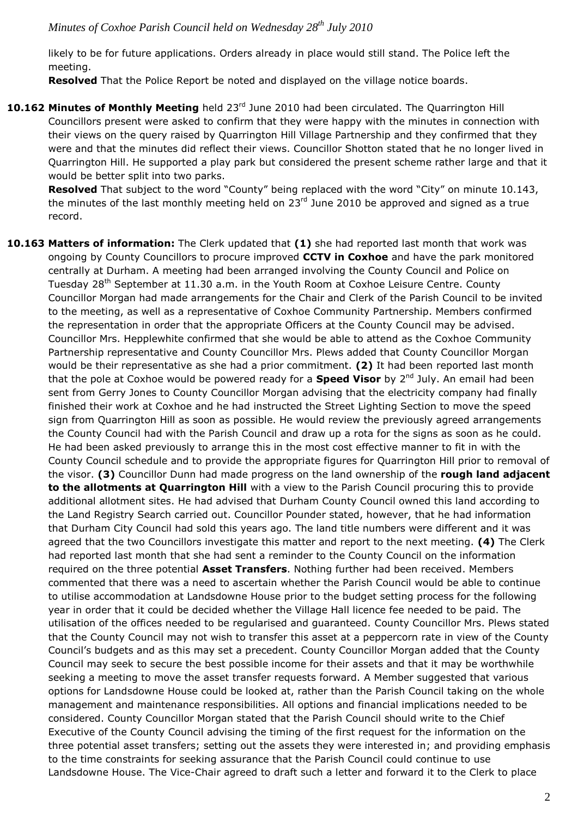likely to be for future applications. Orders already in place would still stand. The Police left the meeting.

**Resolved** That the Police Report be noted and displayed on the village notice boards.

10.162 Minutes of Monthly Meeting held 23<sup>rd</sup> June 2010 had been circulated. The Quarrington Hill Councillors present were asked to confirm that they were happy with the minutes in connection with their views on the query raised by Quarrington Hill Village Partnership and they confirmed that they were and that the minutes did reflect their views. Councillor Shotton stated that he no longer lived in Quarrington Hill. He supported a play park but considered the present scheme rather large and that it would be better split into two parks.

**Resolved** That subject to the word "County" being replaced with the word "City" on minute 10.143, the minutes of the last monthly meeting held on  $23^{rd}$  June 2010 be approved and signed as a true record.

**10.163 Matters of information:** The Clerk updated that **(1)** she had reported last month that work was ongoing by County Councillors to procure improved **CCTV in Coxhoe** and have the park monitored centrally at Durham. A meeting had been arranged involving the County Council and Police on Tuesday 28<sup>th</sup> September at 11.30 a.m. in the Youth Room at Coxhoe Leisure Centre. County Councillor Morgan had made arrangements for the Chair and Clerk of the Parish Council to be invited to the meeting, as well as a representative of Coxhoe Community Partnership. Members confirmed the representation in order that the appropriate Officers at the County Council may be advised. Councillor Mrs. Hepplewhite confirmed that she would be able to attend as the Coxhoe Community Partnership representative and County Councillor Mrs. Plews added that County Councillor Morgan would be their representative as she had a prior commitment. **(2)** It had been reported last month that the pole at Coxhoe would be powered ready for a **Speed Visor** by 2<sup>nd</sup> July. An email had been sent from Gerry Jones to County Councillor Morgan advising that the electricity company had finally finished their work at Coxhoe and he had instructed the Street Lighting Section to move the speed sign from Quarrington Hill as soon as possible. He would review the previously agreed arrangements the County Council had with the Parish Council and draw up a rota for the signs as soon as he could. He had been asked previously to arrange this in the most cost effective manner to fit in with the County Council schedule and to provide the appropriate figures for Quarrington Hill prior to removal of the visor. **(3)** Councillor Dunn had made progress on the land ownership of the **rough land adjacent to the allotments at Quarrington Hill** with a view to the Parish Council procuring this to provide additional allotment sites. He had advised that Durham County Council owned this land according to the Land Registry Search carried out. Councillor Pounder stated, however, that he had information that Durham City Council had sold this years ago. The land title numbers were different and it was agreed that the two Councillors investigate this matter and report to the next meeting. **(4)** The Clerk had reported last month that she had sent a reminder to the County Council on the information required on the three potential **Asset Transfers**. Nothing further had been received. Members commented that there was a need to ascertain whether the Parish Council would be able to continue to utilise accommodation at Landsdowne House prior to the budget setting process for the following year in order that it could be decided whether the Village Hall licence fee needed to be paid. The utilisation of the offices needed to be regularised and guaranteed. County Councillor Mrs. Plews stated that the County Council may not wish to transfer this asset at a peppercorn rate in view of the County Council's budgets and as this may set a precedent. County Councillor Morgan added that the County Council may seek to secure the best possible income for their assets and that it may be worthwhile seeking a meeting to move the asset transfer requests forward. A Member suggested that various options for Landsdowne House could be looked at, rather than the Parish Council taking on the whole management and maintenance responsibilities. All options and financial implications needed to be considered. County Councillor Morgan stated that the Parish Council should write to the Chief Executive of the County Council advising the timing of the first request for the information on the three potential asset transfers; setting out the assets they were interested in; and providing emphasis to the time constraints for seeking assurance that the Parish Council could continue to use Landsdowne House. The Vice-Chair agreed to draft such a letter and forward it to the Clerk to place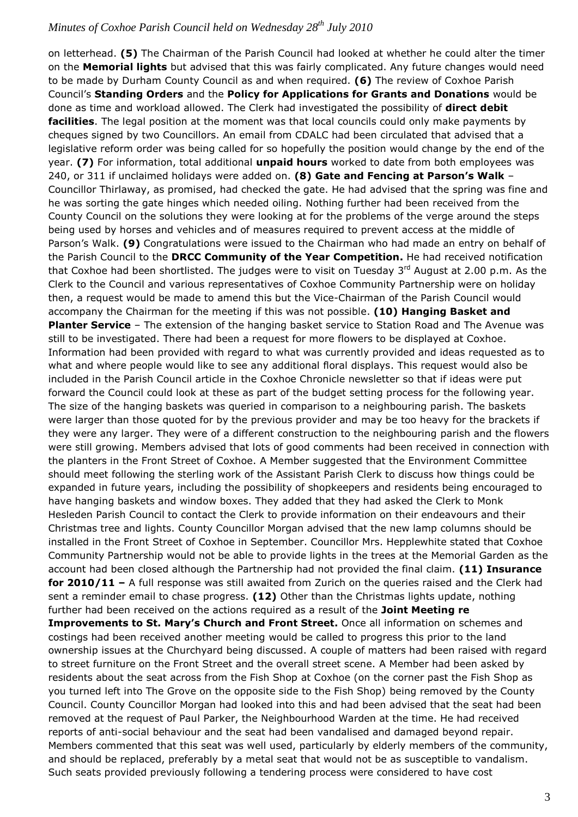on letterhead. **(5)** The Chairman of the Parish Council had looked at whether he could alter the timer on the **Memorial lights** but advised that this was fairly complicated. Any future changes would need to be made by Durham County Council as and when required. **(6)** The review of Coxhoe Parish Council's **Standing Orders** and the **Policy for Applications for Grants and Donations** would be done as time and workload allowed. The Clerk had investigated the possibility of **direct debit facilities**. The legal position at the moment was that local councils could only make payments by cheques signed by two Councillors. An email from CDALC had been circulated that advised that a legislative reform order was being called for so hopefully the position would change by the end of the year. **(7)** For information, total additional **unpaid hours** worked to date from both employees was 240, or 311 if unclaimed holidays were added on. **(8) Gate and Fencing at Parson's Walk** – Councillor Thirlaway, as promised, had checked the gate. He had advised that the spring was fine and he was sorting the gate hinges which needed oiling. Nothing further had been received from the County Council on the solutions they were looking at for the problems of the verge around the steps being used by horses and vehicles and of measures required to prevent access at the middle of Parson's Walk. **(9)** Congratulations were issued to the Chairman who had made an entry on behalf of the Parish Council to the **DRCC Community of the Year Competition.** He had received notification that Coxhoe had been shortlisted. The judges were to visit on Tuesday  $3^{rd}$  August at 2.00 p.m. As the Clerk to the Council and various representatives of Coxhoe Community Partnership were on holiday then, a request would be made to amend this but the Vice-Chairman of the Parish Council would accompany the Chairman for the meeting if this was not possible. **(10) Hanging Basket and Planter Service** – The extension of the hanging basket service to Station Road and The Avenue was still to be investigated. There had been a request for more flowers to be displayed at Coxhoe. Information had been provided with regard to what was currently provided and ideas requested as to what and where people would like to see any additional floral displays. This request would also be included in the Parish Council article in the Coxhoe Chronicle newsletter so that if ideas were put forward the Council could look at these as part of the budget setting process for the following year. The size of the hanging baskets was queried in comparison to a neighbouring parish. The baskets were larger than those quoted for by the previous provider and may be too heavy for the brackets if they were any larger. They were of a different construction to the neighbouring parish and the flowers were still growing. Members advised that lots of good comments had been received in connection with the planters in the Front Street of Coxhoe. A Member suggested that the Environment Committee should meet following the sterling work of the Assistant Parish Clerk to discuss how things could be expanded in future years, including the possibility of shopkeepers and residents being encouraged to have hanging baskets and window boxes. They added that they had asked the Clerk to Monk Hesleden Parish Council to contact the Clerk to provide information on their endeavours and their Christmas tree and lights. County Councillor Morgan advised that the new lamp columns should be installed in the Front Street of Coxhoe in September. Councillor Mrs. Hepplewhite stated that Coxhoe Community Partnership would not be able to provide lights in the trees at the Memorial Garden as the account had been closed although the Partnership had not provided the final claim. **(11) Insurance for 2010/11 –** A full response was still awaited from Zurich on the queries raised and the Clerk had sent a reminder email to chase progress. **(12)** Other than the Christmas lights update, nothing further had been received on the actions required as a result of the **Joint Meeting re Improvements to St. Mary's Church and Front Street.** Once all information on schemes and costings had been received another meeting would be called to progress this prior to the land ownership issues at the Churchyard being discussed. A couple of matters had been raised with regard to street furniture on the Front Street and the overall street scene. A Member had been asked by residents about the seat across from the Fish Shop at Coxhoe (on the corner past the Fish Shop as you turned left into The Grove on the opposite side to the Fish Shop) being removed by the County Council. County Councillor Morgan had looked into this and had been advised that the seat had been removed at the request of Paul Parker, the Neighbourhood Warden at the time. He had received reports of anti-social behaviour and the seat had been vandalised and damaged beyond repair. Members commented that this seat was well used, particularly by elderly members of the community, and should be replaced, preferably by a metal seat that would not be as susceptible to vandalism. Such seats provided previously following a tendering process were considered to have cost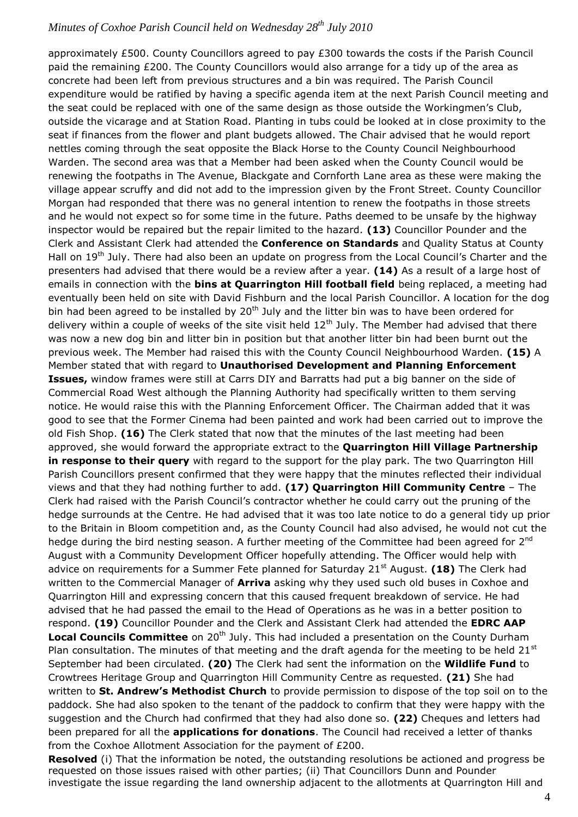approximately £500. County Councillors agreed to pay £300 towards the costs if the Parish Council paid the remaining £200. The County Councillors would also arrange for a tidy up of the area as concrete had been left from previous structures and a bin was required. The Parish Council expenditure would be ratified by having a specific agenda item at the next Parish Council meeting and the seat could be replaced with one of the same design as those outside the Workingmen's Club, outside the vicarage and at Station Road. Planting in tubs could be looked at in close proximity to the seat if finances from the flower and plant budgets allowed. The Chair advised that he would report nettles coming through the seat opposite the Black Horse to the County Council Neighbourhood Warden. The second area was that a Member had been asked when the County Council would be renewing the footpaths in The Avenue, Blackgate and Cornforth Lane area as these were making the village appear scruffy and did not add to the impression given by the Front Street. County Councillor Morgan had responded that there was no general intention to renew the footpaths in those streets and he would not expect so for some time in the future. Paths deemed to be unsafe by the highway inspector would be repaired but the repair limited to the hazard. **(13)** Councillor Pounder and the Clerk and Assistant Clerk had attended the **Conference on Standards** and Quality Status at County Hall on 19<sup>th</sup> July. There had also been an update on progress from the Local Council's Charter and the presenters had advised that there would be a review after a year. **(14)** As a result of a large host of emails in connection with the **bins at Quarrington Hill football field** being replaced, a meeting had eventually been held on site with David Fishburn and the local Parish Councillor. A location for the dog bin had been agreed to be installed by  $20<sup>th</sup>$  July and the litter bin was to have been ordered for delivery within a couple of weeks of the site visit held  $12<sup>th</sup>$  July. The Member had advised that there was now a new dog bin and litter bin in position but that another litter bin had been burnt out the previous week. The Member had raised this with the County Council Neighbourhood Warden. **(15)** A Member stated that with regard to **Unauthorised Development and Planning Enforcement Issues,** window frames were still at Carrs DIY and Barratts had put a big banner on the side of Commercial Road West although the Planning Authority had specifically written to them serving notice. He would raise this with the Planning Enforcement Officer. The Chairman added that it was good to see that the Former Cinema had been painted and work had been carried out to improve the old Fish Shop. **(16)** The Clerk stated that now that the minutes of the last meeting had been approved, she would forward the appropriate extract to the **Quarrington Hill Village Partnership in response to their query** with regard to the support for the play park. The two Quarrington Hill Parish Councillors present confirmed that they were happy that the minutes reflected their individual views and that they had nothing further to add. **(17) Quarrington Hill Community Centre** – The Clerk had raised with the Parish Council's contractor whether he could carry out the pruning of the hedge surrounds at the Centre. He had advised that it was too late notice to do a general tidy up prior to the Britain in Bloom competition and, as the County Council had also advised, he would not cut the hedge during the bird nesting season. A further meeting of the Committee had been agreed for  $2^{nd}$ August with a Community Development Officer hopefully attending. The Officer would help with advice on requirements for a Summer Fete planned for Saturday 21<sup>st</sup> August. **(18)** The Clerk had written to the Commercial Manager of **Arriva** asking why they used such old buses in Coxhoe and Quarrington Hill and expressing concern that this caused frequent breakdown of service. He had advised that he had passed the email to the Head of Operations as he was in a better position to respond. **(19)** Councillor Pounder and the Clerk and Assistant Clerk had attended the **EDRC AAP Local Councils Committee** on 20<sup>th</sup> July. This had included a presentation on the County Durham Plan consultation. The minutes of that meeting and the draft agenda for the meeting to be held 21 $^{\rm st}$ September had been circulated. **(20)** The Clerk had sent the information on the **Wildlife Fund** to Crowtrees Heritage Group and Quarrington Hill Community Centre as requested. **(21)** She had written to **St. Andrew's Methodist Church** to provide permission to dispose of the top soil on to the paddock. She had also spoken to the tenant of the paddock to confirm that they were happy with the suggestion and the Church had confirmed that they had also done so. **(22)** Cheques and letters had been prepared for all the **applications for donations**. The Council had received a letter of thanks from the Coxhoe Allotment Association for the payment of £200.

**Resolved** (i) That the information be noted, the outstanding resolutions be actioned and progress be requested on those issues raised with other parties; (ii) That Councillors Dunn and Pounder investigate the issue regarding the land ownership adjacent to the allotments at Quarrington Hill and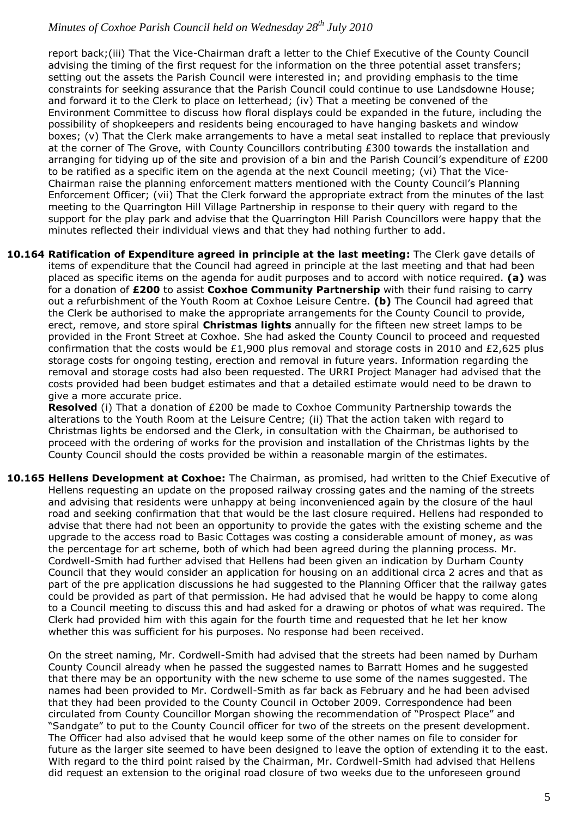report back;(iii) That the Vice-Chairman draft a letter to the Chief Executive of the County Council advising the timing of the first request for the information on the three potential asset transfers; setting out the assets the Parish Council were interested in; and providing emphasis to the time constraints for seeking assurance that the Parish Council could continue to use Landsdowne House; and forward it to the Clerk to place on letterhead; (iv) That a meeting be convened of the Environment Committee to discuss how floral displays could be expanded in the future, including the possibility of shopkeepers and residents being encouraged to have hanging baskets and window boxes; (v) That the Clerk make arrangements to have a metal seat installed to replace that previously at the corner of The Grove, with County Councillors contributing £300 towards the installation and arranging for tidying up of the site and provision of a bin and the Parish Council's expenditure of £200 to be ratified as a specific item on the agenda at the next Council meeting; (vi) That the Vice-Chairman raise the planning enforcement matters mentioned with the County Council's Planning Enforcement Officer; (vii) That the Clerk forward the appropriate extract from the minutes of the last meeting to the Quarrington Hill Village Partnership in response to their query with regard to the support for the play park and advise that the Quarrington Hill Parish Councillors were happy that the minutes reflected their individual views and that they had nothing further to add.

**10.164 Ratification of Expenditure agreed in principle at the last meeting:** The Clerk gave details of items of expenditure that the Council had agreed in principle at the last meeting and that had been placed as specific items on the agenda for audit purposes and to accord with notice required. **(a)** was for a donation of **£200** to assist **Coxhoe Community Partnership** with their fund raising to carry out a refurbishment of the Youth Room at Coxhoe Leisure Centre. **(b)** The Council had agreed that the Clerk be authorised to make the appropriate arrangements for the County Council to provide, erect, remove, and store spiral **Christmas lights** annually for the fifteen new street lamps to be provided in the Front Street at Coxhoe. She had asked the County Council to proceed and requested confirmation that the costs would be £1,900 plus removal and storage costs in 2010 and £2,625 plus storage costs for ongoing testing, erection and removal in future years. Information regarding the removal and storage costs had also been requested. The URRI Project Manager had advised that the costs provided had been budget estimates and that a detailed estimate would need to be drawn to give a more accurate price.

**Resolved** (i) That a donation of £200 be made to Coxhoe Community Partnership towards the alterations to the Youth Room at the Leisure Centre; (ii) That the action taken with regard to Christmas lights be endorsed and the Clerk, in consultation with the Chairman, be authorised to proceed with the ordering of works for the provision and installation of the Christmas lights by the County Council should the costs provided be within a reasonable margin of the estimates.

**10.165 Hellens Development at Coxhoe:** The Chairman, as promised, had written to the Chief Executive of Hellens requesting an update on the proposed railway crossing gates and the naming of the streets and advising that residents were unhappy at being inconvenienced again by the closure of the haul road and seeking confirmation that that would be the last closure required. Hellens had responded to advise that there had not been an opportunity to provide the gates with the existing scheme and the upgrade to the access road to Basic Cottages was costing a considerable amount of money, as was the percentage for art scheme, both of which had been agreed during the planning process. Mr. Cordwell-Smith had further advised that Hellens had been given an indication by Durham County Council that they would consider an application for housing on an additional circa 2 acres and that as part of the pre application discussions he had suggested to the Planning Officer that the railway gates could be provided as part of that permission. He had advised that he would be happy to come along to a Council meeting to discuss this and had asked for a drawing or photos of what was required. The Clerk had provided him with this again for the fourth time and requested that he let her know whether this was sufficient for his purposes. No response had been received.

On the street naming, Mr. Cordwell-Smith had advised that the streets had been named by Durham County Council already when he passed the suggested names to Barratt Homes and he suggested that there may be an opportunity with the new scheme to use some of the names suggested. The names had been provided to Mr. Cordwell-Smith as far back as February and he had been advised that they had been provided to the County Council in October 2009. Correspondence had been circulated from County Councillor Morgan showing the recommendation of "Prospect Place" and "Sandgate" to put to the County Council officer for two of the streets on the present development. The Officer had also advised that he would keep some of the other names on file to consider for future as the larger site seemed to have been designed to leave the option of extending it to the east. With regard to the third point raised by the Chairman, Mr. Cordwell-Smith had advised that Hellens did request an extension to the original road closure of two weeks due to the unforeseen ground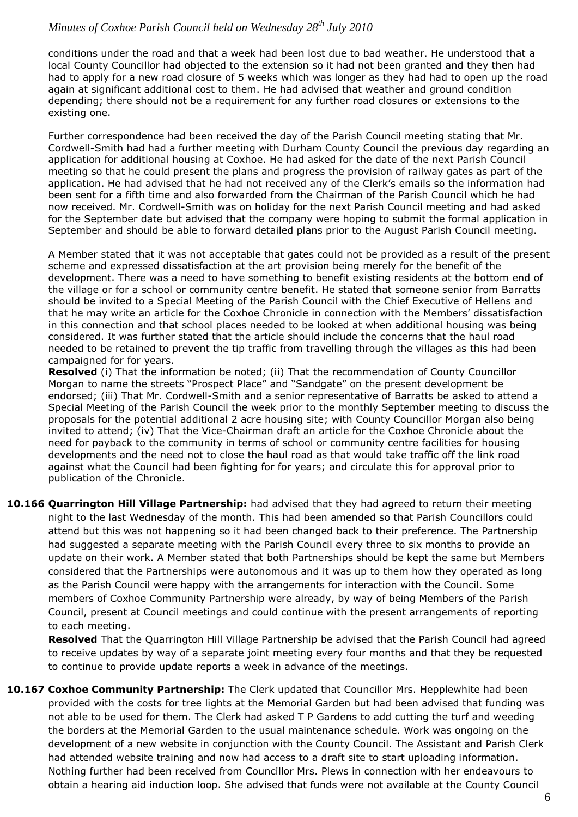conditions under the road and that a week had been lost due to bad weather. He understood that a local County Councillor had objected to the extension so it had not been granted and they then had had to apply for a new road closure of 5 weeks which was longer as they had had to open up the road again at significant additional cost to them. He had advised that weather and ground condition depending; there should not be a requirement for any further road closures or extensions to the existing one.

Further correspondence had been received the day of the Parish Council meeting stating that Mr. Cordwell-Smith had had a further meeting with Durham County Council the previous day regarding an application for additional housing at Coxhoe. He had asked for the date of the next Parish Council meeting so that he could present the plans and progress the provision of railway gates as part of the application. He had advised that he had not received any of the Clerk's emails so the information had been sent for a fifth time and also forwarded from the Chairman of the Parish Council which he had now received. Mr. Cordwell-Smith was on holiday for the next Parish Council meeting and had asked for the September date but advised that the company were hoping to submit the formal application in September and should be able to forward detailed plans prior to the August Parish Council meeting.

A Member stated that it was not acceptable that gates could not be provided as a result of the present scheme and expressed dissatisfaction at the art provision being merely for the benefit of the development. There was a need to have something to benefit existing residents at the bottom end of the village or for a school or community centre benefit. He stated that someone senior from Barratts should be invited to a Special Meeting of the Parish Council with the Chief Executive of Hellens and that he may write an article for the Coxhoe Chronicle in connection with the Members' dissatisfaction in this connection and that school places needed to be looked at when additional housing was being considered. It was further stated that the article should include the concerns that the haul road needed to be retained to prevent the tip traffic from travelling through the villages as this had been campaigned for for years.

**Resolved** (i) That the information be noted; (ii) That the recommendation of County Councillor Morgan to name the streets "Prospect Place" and "Sandgate" on the present development be endorsed; (iii) That Mr. Cordwell-Smith and a senior representative of Barratts be asked to attend a Special Meeting of the Parish Council the week prior to the monthly September meeting to discuss the proposals for the potential additional 2 acre housing site; with County Councillor Morgan also being invited to attend; (iv) That the Vice-Chairman draft an article for the Coxhoe Chronicle about the need for payback to the community in terms of school or community centre facilities for housing developments and the need not to close the haul road as that would take traffic off the link road against what the Council had been fighting for for years; and circulate this for approval prior to publication of the Chronicle.

**10.166 Quarrington Hill Village Partnership:** had advised that they had agreed to return their meeting night to the last Wednesday of the month. This had been amended so that Parish Councillors could attend but this was not happening so it had been changed back to their preference. The Partnership had suggested a separate meeting with the Parish Council every three to six months to provide an update on their work. A Member stated that both Partnerships should be kept the same but Members considered that the Partnerships were autonomous and it was up to them how they operated as long as the Parish Council were happy with the arrangements for interaction with the Council. Some members of Coxhoe Community Partnership were already, by way of being Members of the Parish Council, present at Council meetings and could continue with the present arrangements of reporting to each meeting.

**Resolved** That the Quarrington Hill Village Partnership be advised that the Parish Council had agreed to receive updates by way of a separate joint meeting every four months and that they be requested to continue to provide update reports a week in advance of the meetings.

**10.167 Coxhoe Community Partnership:** The Clerk updated that Councillor Mrs. Hepplewhite had been provided with the costs for tree lights at the Memorial Garden but had been advised that funding was not able to be used for them. The Clerk had asked T P Gardens to add cutting the turf and weeding the borders at the Memorial Garden to the usual maintenance schedule. Work was ongoing on the development of a new website in conjunction with the County Council. The Assistant and Parish Clerk had attended website training and now had access to a draft site to start uploading information. Nothing further had been received from Councillor Mrs. Plews in connection with her endeavours to obtain a hearing aid induction loop. She advised that funds were not available at the County Council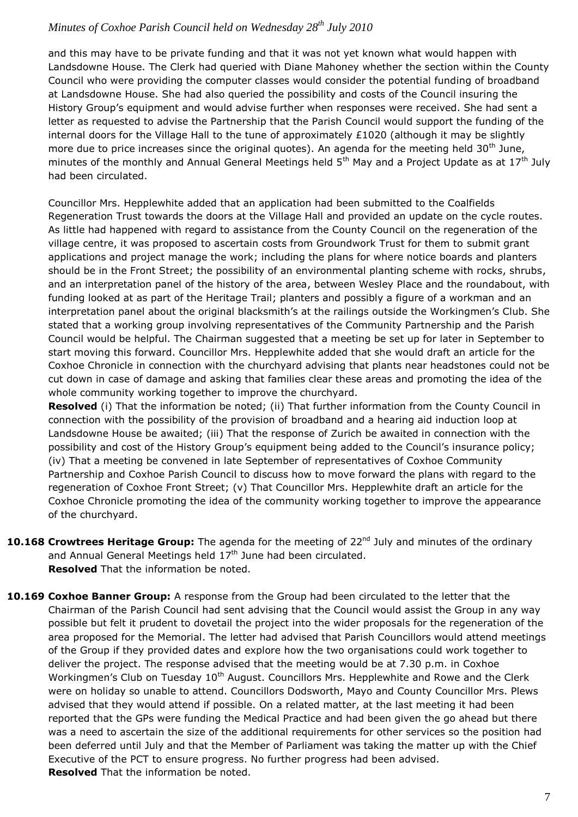and this may have to be private funding and that it was not yet known what would happen with Landsdowne House. The Clerk had queried with Diane Mahoney whether the section within the County Council who were providing the computer classes would consider the potential funding of broadband at Landsdowne House. She had also queried the possibility and costs of the Council insuring the History Group's equipment and would advise further when responses were received. She had sent a letter as requested to advise the Partnership that the Parish Council would support the funding of the internal doors for the Village Hall to the tune of approximately £1020 (although it may be slightly more due to price increases since the original quotes). An agenda for the meeting held  $30<sup>th</sup>$  June, minutes of the monthly and Annual General Meetings held  $5<sup>th</sup>$  May and a Project Update as at  $17<sup>th</sup>$  July had been circulated.

Councillor Mrs. Hepplewhite added that an application had been submitted to the Coalfields Regeneration Trust towards the doors at the Village Hall and provided an update on the cycle routes. As little had happened with regard to assistance from the County Council on the regeneration of the village centre, it was proposed to ascertain costs from Groundwork Trust for them to submit grant applications and project manage the work; including the plans for where notice boards and planters should be in the Front Street; the possibility of an environmental planting scheme with rocks, shrubs, and an interpretation panel of the history of the area, between Wesley Place and the roundabout, with funding looked at as part of the Heritage Trail; planters and possibly a figure of a workman and an interpretation panel about the original blacksmith's at the railings outside the Workingmen's Club. She stated that a working group involving representatives of the Community Partnership and the Parish Council would be helpful. The Chairman suggested that a meeting be set up for later in September to start moving this forward. Councillor Mrs. Hepplewhite added that she would draft an article for the Coxhoe Chronicle in connection with the churchyard advising that plants near headstones could not be cut down in case of damage and asking that families clear these areas and promoting the idea of the whole community working together to improve the churchyard.

**Resolved** (i) That the information be noted; (ii) That further information from the County Council in connection with the possibility of the provision of broadband and a hearing aid induction loop at Landsdowne House be awaited; (iii) That the response of Zurich be awaited in connection with the possibility and cost of the History Group's equipment being added to the Council's insurance policy; (iv) That a meeting be convened in late September of representatives of Coxhoe Community Partnership and Coxhoe Parish Council to discuss how to move forward the plans with regard to the regeneration of Coxhoe Front Street; (v) That Councillor Mrs. Hepplewhite draft an article for the Coxhoe Chronicle promoting the idea of the community working together to improve the appearance of the churchyard.

- **10.168 Crowtrees Heritage Group:** The agenda for the meeting of 22<sup>nd</sup> July and minutes of the ordinary and Annual General Meetings held  $17<sup>th</sup>$  June had been circulated. **Resolved** That the information be noted.
- **10.169 Coxhoe Banner Group:** A response from the Group had been circulated to the letter that the Chairman of the Parish Council had sent advising that the Council would assist the Group in any way possible but felt it prudent to dovetail the project into the wider proposals for the regeneration of the area proposed for the Memorial. The letter had advised that Parish Councillors would attend meetings of the Group if they provided dates and explore how the two organisations could work together to deliver the project. The response advised that the meeting would be at 7.30 p.m. in Coxhoe Workingmen's Club on Tuesday 10<sup>th</sup> August. Councillors Mrs. Hepplewhite and Rowe and the Clerk were on holiday so unable to attend. Councillors Dodsworth, Mayo and County Councillor Mrs. Plews advised that they would attend if possible. On a related matter, at the last meeting it had been reported that the GPs were funding the Medical Practice and had been given the go ahead but there was a need to ascertain the size of the additional requirements for other services so the position had been deferred until July and that the Member of Parliament was taking the matter up with the Chief Executive of the PCT to ensure progress. No further progress had been advised. **Resolved** That the information be noted.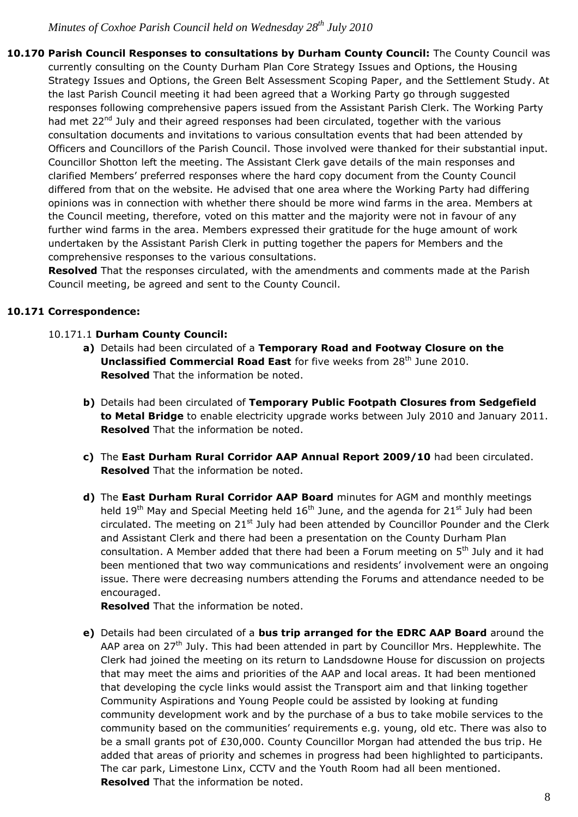**10.170 Parish Council Responses to consultations by Durham County Council:** The County Council was currently consulting on the County Durham Plan Core Strategy Issues and Options, the Housing Strategy Issues and Options, the Green Belt Assessment Scoping Paper, and the Settlement Study. At the last Parish Council meeting it had been agreed that a Working Party go through suggested responses following comprehensive papers issued from the Assistant Parish Clerk. The Working Party had met 22<sup>nd</sup> July and their agreed responses had been circulated, together with the various consultation documents and invitations to various consultation events that had been attended by Officers and Councillors of the Parish Council. Those involved were thanked for their substantial input. Councillor Shotton left the meeting. The Assistant Clerk gave details of the main responses and clarified Members' preferred responses where the hard copy document from the County Council differed from that on the website. He advised that one area where the Working Party had differing opinions was in connection with whether there should be more wind farms in the area. Members at the Council meeting, therefore, voted on this matter and the majority were not in favour of any further wind farms in the area. Members expressed their gratitude for the huge amount of work undertaken by the Assistant Parish Clerk in putting together the papers for Members and the comprehensive responses to the various consultations.

**Resolved** That the responses circulated, with the amendments and comments made at the Parish Council meeting, be agreed and sent to the County Council.

## **10.171 Correspondence:**

## 10.171.1 **Durham County Council:**

- **a)** Details had been circulated of a **Temporary Road and Footway Closure on the Unclassified Commercial Road East** for five weeks from 28<sup>th</sup> June 2010. **Resolved** That the information be noted.
- **b)** Details had been circulated of **Temporary Public Footpath Closures from Sedgefield to Metal Bridge** to enable electricity upgrade works between July 2010 and January 2011. **Resolved** That the information be noted.
- **c)** The **East Durham Rural Corridor AAP Annual Report 2009/10** had been circulated. **Resolved** That the information be noted.
- **d)** The **East Durham Rural Corridor AAP Board** minutes for AGM and monthly meetings held  $19<sup>th</sup>$  May and Special Meeting held  $16<sup>th</sup>$  June, and the agenda for 21 $<sup>st</sup>$  July had been</sup> circulated. The meeting on  $21<sup>st</sup>$  July had been attended by Councillor Pounder and the Clerk and Assistant Clerk and there had been a presentation on the County Durham Plan consultation. A Member added that there had been a Forum meeting on  $5<sup>th</sup>$  July and it had been mentioned that two way communications and residents' involvement were an ongoing issue. There were decreasing numbers attending the Forums and attendance needed to be encouraged.

**Resolved** That the information be noted.

**e)** Details had been circulated of a **bus trip arranged for the EDRC AAP Board** around the AAP area on  $27<sup>th</sup>$  July. This had been attended in part by Councillor Mrs. Hepplewhite. The Clerk had joined the meeting on its return to Landsdowne House for discussion on projects that may meet the aims and priorities of the AAP and local areas. It had been mentioned that developing the cycle links would assist the Transport aim and that linking together Community Aspirations and Young People could be assisted by looking at funding community development work and by the purchase of a bus to take mobile services to the community based on the communities' requirements e.g. young, old etc. There was also to be a small grants pot of £30,000. County Councillor Morgan had attended the bus trip. He added that areas of priority and schemes in progress had been highlighted to participants. The car park, Limestone Linx, CCTV and the Youth Room had all been mentioned. **Resolved** That the information be noted.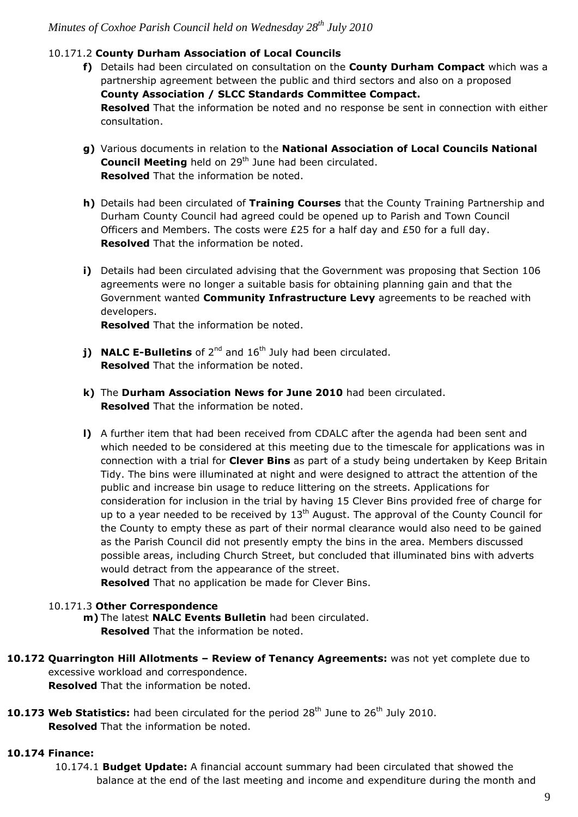## 10.171.2 **County Durham Association of Local Councils**

- **f)** Details had been circulated on consultation on the **County Durham Compact** which was a partnership agreement between the public and third sectors and also on a proposed **County Association / SLCC Standards Committee Compact. Resolved** That the information be noted and no response be sent in connection with either consultation.
- **g)** Various documents in relation to the **National Association of Local Councils National Council Meeting** held on 29<sup>th</sup> June had been circulated. **Resolved** That the information be noted.
- **h)** Details had been circulated of **Training Courses** that the County Training Partnership and Durham County Council had agreed could be opened up to Parish and Town Council Officers and Members. The costs were £25 for a half day and £50 for a full day. **Resolved** That the information be noted.
- **i)** Details had been circulated advising that the Government was proposing that Section 106 agreements were no longer a suitable basis for obtaining planning gain and that the Government wanted **Community Infrastructure Levy** agreements to be reached with developers.

**Resolved** That the information be noted.

- **j) NALC E-Bulletins** of 2<sup>nd</sup> and 16<sup>th</sup> July had been circulated. **Resolved** That the information be noted.
- **k)** The **Durham Association News for June 2010** had been circulated. **Resolved** That the information be noted.
- **l)** A further item that had been received from CDALC after the agenda had been sent and which needed to be considered at this meeting due to the timescale for applications was in connection with a trial for **Clever Bins** as part of a study being undertaken by Keep Britain Tidy. The bins were illuminated at night and were designed to attract the attention of the public and increase bin usage to reduce littering on the streets. Applications for consideration for inclusion in the trial by having 15 Clever Bins provided free of charge for up to a year needed to be received by  $13<sup>th</sup>$  August. The approval of the County Council for the County to empty these as part of their normal clearance would also need to be gained as the Parish Council did not presently empty the bins in the area. Members discussed possible areas, including Church Street, but concluded that illuminated bins with adverts would detract from the appearance of the street.

**Resolved** That no application be made for Clever Bins.

## 10.171.3 **Other Correspondence**

**m)** The latest **NALC Events Bulletin** had been circulated. **Resolved** That the information be noted.

- **10.172 Quarrington Hill Allotments – Review of Tenancy Agreements:** was not yet complete due to excessive workload and correspondence. **Resolved** That the information be noted.
- 10.173 Web Statistics: had been circulated for the period 28<sup>th</sup> June to 26<sup>th</sup> July 2010. **Resolved** That the information be noted.

#### **10.174 Finance:**

10.174.1 **Budget Update:** A financial account summary had been circulated that showed the balance at the end of the last meeting and income and expenditure during the month and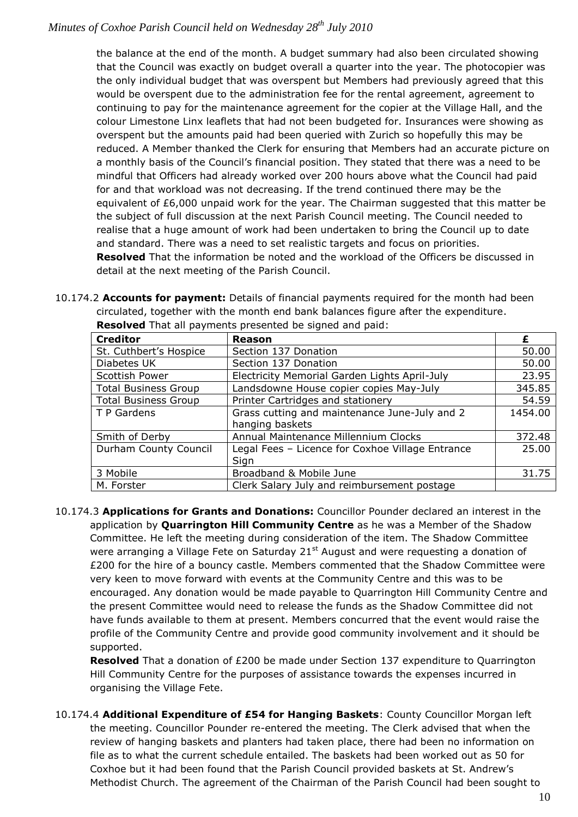the balance at the end of the month. A budget summary had also been circulated showing that the Council was exactly on budget overall a quarter into the year. The photocopier was the only individual budget that was overspent but Members had previously agreed that this would be overspent due to the administration fee for the rental agreement, agreement to continuing to pay for the maintenance agreement for the copier at the Village Hall, and the colour Limestone Linx leaflets that had not been budgeted for. Insurances were showing as overspent but the amounts paid had been queried with Zurich so hopefully this may be reduced. A Member thanked the Clerk for ensuring that Members had an accurate picture on a monthly basis of the Council's financial position. They stated that there was a need to be mindful that Officers had already worked over 200 hours above what the Council had paid for and that workload was not decreasing. If the trend continued there may be the equivalent of £6,000 unpaid work for the year. The Chairman suggested that this matter be the subject of full discussion at the next Parish Council meeting. The Council needed to realise that a huge amount of work had been undertaken to bring the Council up to date and standard. There was a need to set realistic targets and focus on priorities. **Resolved** That the information be noted and the workload of the Officers be discussed in detail at the next meeting of the Parish Council.

10.174.2 **Accounts for payment:** Details of financial payments required for the month had been circulated, together with the month end bank balances figure after the expenditure. **Resolved** That all payments presented be signed and paid:

| <b>Creditor</b>             | <b>Reason</b>                                    | £       |
|-----------------------------|--------------------------------------------------|---------|
| St. Cuthbert's Hospice      | Section 137 Donation                             | 50.00   |
| Diabetes UK                 | Section 137 Donation                             | 50.00   |
| Scottish Power              | Electricity Memorial Garden Lights April-July    | 23.95   |
| <b>Total Business Group</b> | Landsdowne House copier copies May-July          | 345.85  |
| <b>Total Business Group</b> | Printer Cartridges and stationery                | 54.59   |
| T P Gardens                 | Grass cutting and maintenance June-July and 2    | 1454.00 |
|                             | hanging baskets                                  |         |
| Smith of Derby              | Annual Maintenance Millennium Clocks             | 372.48  |
| Durham County Council       | Legal Fees - Licence for Coxhoe Village Entrance | 25.00   |
|                             | Sign                                             |         |
| 3 Mobile                    | Broadband & Mobile June                          | 31.75   |
| M. Forster                  | Clerk Salary July and reimbursement postage      |         |

10.174.3 **Applications for Grants and Donations:** Councillor Pounder declared an interest in the application by **Quarrington Hill Community Centre** as he was a Member of the Shadow Committee. He left the meeting during consideration of the item. The Shadow Committee were arranging a Village Fete on Saturday  $21<sup>st</sup>$  August and were reguesting a donation of £200 for the hire of a bouncy castle. Members commented that the Shadow Committee were very keen to move forward with events at the Community Centre and this was to be encouraged. Any donation would be made payable to Quarrington Hill Community Centre and the present Committee would need to release the funds as the Shadow Committee did not have funds available to them at present. Members concurred that the event would raise the profile of the Community Centre and provide good community involvement and it should be supported.

**Resolved** That a donation of £200 be made under Section 137 expenditure to Quarrington Hill Community Centre for the purposes of assistance towards the expenses incurred in organising the Village Fete.

10.174.4 **Additional Expenditure of £54 for Hanging Baskets**: County Councillor Morgan left the meeting. Councillor Pounder re-entered the meeting. The Clerk advised that when the review of hanging baskets and planters had taken place, there had been no information on file as to what the current schedule entailed. The baskets had been worked out as 50 for Coxhoe but it had been found that the Parish Council provided baskets at St. Andrew's Methodist Church. The agreement of the Chairman of the Parish Council had been sought to